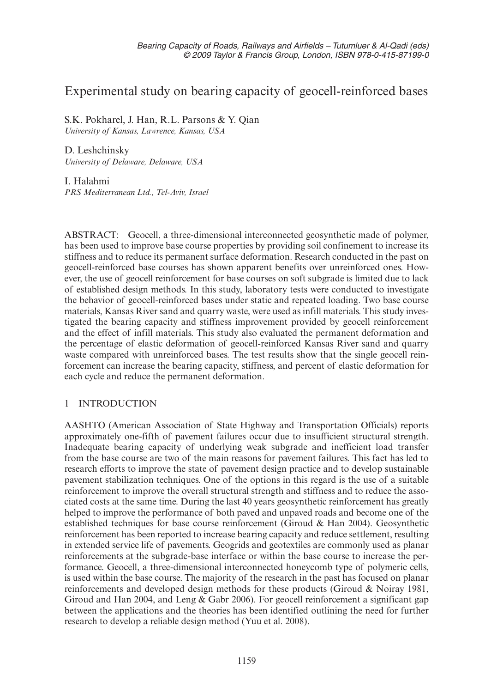# Experimental study on bearing capacity of geocell-reinforced bases

S.K. Pokharel, J. Han, R.L. Parsons & Y. Qian *University of Kansas, Lawrence, Kansas, USA*

D. Leshchinsky *University of Delaware, Delaware, USA*

I. Halahmi *PRS Mediterranean Ltd., Tel-Aviv, Israel*

ABSTRACT: Geocell, a three-dimensional interconnected geosynthetic made of polymer, has been used to improve base course properties by providing soil confinement to increase its stiffness and to reduce its permanent surface deformation. Research conducted in the past on geocell-reinforced base courses has shown apparent benefits over unreinforced ones. However, the use of geocell reinforcement for base courses on soft subgrade is limited due to lack of established design methods. In this study, laboratory tests were conducted to investigate the behavior of geocell-reinforced bases under static and repeated loading. Two base course materials, Kansas River sand and quarry waste, were used as infill materials. This study investigated the bearing capacity and stiffness improvement provided by geocell reinforcement and the effect of infill materials. This study also evaluated the permanent deformation and the percentage of elastic deformation of geocell-reinforced Kansas River sand and quarry waste compared with unreinforced bases. The test results show that the single geocell reinforcement can increase the bearing capacity, stiffness, and percent of elastic deformation for each cycle and reduce the permanent deformation.

## 1 INTRODUCTION

AASHTO (American Association of State Highway and Transportation Officials) reports approximately one-fifth of pavement failures occur due to insufficient structural strength. Inadequate bearing capacity of underlying weak subgrade and inefficient load transfer from the base course are two of the main reasons for pavement failures. This fact has led to research efforts to improve the state of pavement design practice and to develop sustainable pavement stabilization techniques. One of the options in this regard is the use of a suitable reinforcement to improve the overall structural strength and stiffness and to reduce the associated costs at the same time. During the last 40 years geosynthetic reinforcement has greatly helped to improve the performance of both paved and unpaved roads and become one of the established techniques for base course reinforcement (Giroud & Han 2004). Geosynthetic reinforcement has been reported to increase bearing capacity and reduce settlement, resulting in extended service life of pavements. Geogrids and geotextiles are commonly used as planar reinforcements at the subgrade-base interface or within the base course to increase the performance. Geocell, a three-dimensional interconnected honeycomb type of polymeric cells, is used within the base course. The majority of the research in the past has focused on planar reinforcements and developed design methods for these products (Giroud & Noiray 1981, Giroud and Han 2004, and Leng & Gabr 2006). For geocell reinforcement a significant gap between the applications and the theories has been identified outlining the need for further research to develop a reliable design method (Yuu et al. 2008).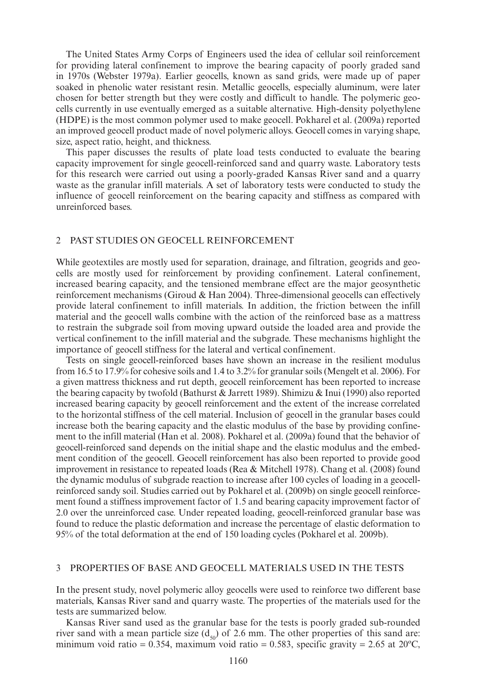The United States Army Corps of Engineers used the idea of cellular soil reinforcement for providing lateral confinement to improve the bearing capacity of poorly graded sand in 1970s (Webster 1979a). Earlier geocells, known as sand grids, were made up of paper soaked in phenolic water resistant resin. Metallic geocells, especially aluminum, were later chosen for better strength but they were costly and difficult to handle. The polymeric geocells currently in use eventually emerged as a suitable alternative. High-density polyethylene (HDPE) is the most common polymer used to make geocell. Pokharel et al. (2009a) reported an improved geocell product made of novel polymeric alloys. Geocell comes in varying shape, size, aspect ratio, height, and thickness.

This paper discusses the results of plate load tests conducted to evaluate the bearing capacity improvement for single geocell-reinforced sand and quarry waste. Laboratory tests for this research were carried out using a poorly-graded Kansas River sand and a quarry waste as the granular infill materials. A set of laboratory tests were conducted to study the influence of geocell reinforcement on the bearing capacity and stiffness as compared with unreinforced bases.

#### 2 PAST STUDIES ON GEOCELL REINFORCEMENT

While geotextiles are mostly used for separation, drainage, and filtration, geogrids and geocells are mostly used for reinforcement by providing confinement. Lateral confinement, increased bearing capacity, and the tensioned membrane effect are the major geosynthetic reinforcement mechanisms (Giroud & Han 2004). Three-dimensional geocells can effectively provide lateral confinement to infill materials. In addition, the friction between the infill material and the geocell walls combine with the action of the reinforced base as a mattress to restrain the subgrade soil from moving upward outside the loaded area and provide the vertical confinement to the infill material and the subgrade. These mechanisms highlight the importance of geocell stiffness for the lateral and vertical confinement.

Tests on single geocell-reinforced bases have shown an increase in the resilient modulus from 16.5 to 17.9% for cohesive soils and 1.4 to 3.2% for granular soils (Mengelt et al. 2006). For a given mattress thickness and rut depth, geocell reinforcement has been reported to increase the bearing capacity by twofold (Bathurst & Jarrett 1989). Shimizu & Inui (1990) also reported increased bearing capacity by geocell reinforcement and the extent of the increase correlated to the horizontal stiffness of the cell material. Inclusion of geocell in the granular bases could increase both the bearing capacity and the elastic modulus of the base by providing confinement to the infill material (Han et al. 2008). Pokharel et al. (2009a) found that the behavior of geocell-reinforced sand depends on the initial shape and the elastic modulus and the embedment condition of the geocell. Geocell reinforcement has also been reported to provide good improvement in resistance to repeated loads (Rea & Mitchell 1978). Chang et al. (2008) found the dynamic modulus of subgrade reaction to increase after 100 cycles of loading in a geocellreinforced sandy soil. Studies carried out by Pokharel et al. (2009b) on single geocell reinforcement found a stiffness improvement factor of 1.5 and bearing capacity improvement factor of 2.0 over the unreinforced case. Under repeated loading, geocell-reinforced granular base was found to reduce the plastic deformation and increase the percentage of elastic deformation to 95% of the total deformation at the end of 150 loading cycles (Pokharel et al. 2009b).

#### 3 PROPERTIES OF BASE AND GEOCELL MATERIALS USED IN THE TESTS

In the present study, novel polymeric alloy geocells were used to reinforce two different base materials, Kansas River sand and quarry waste. The properties of the materials used for the tests are summarized below.

Kansas River sand used as the granular base for the tests is poorly graded sub-rounded river sand with a mean particle size ( $d_{50}$ ) of 2.6 mm. The other properties of this sand are: minimum void ratio = 0.354, maximum void ratio = 0.583, specific gravity = 2.65 at 20 $^{\circ}$ C,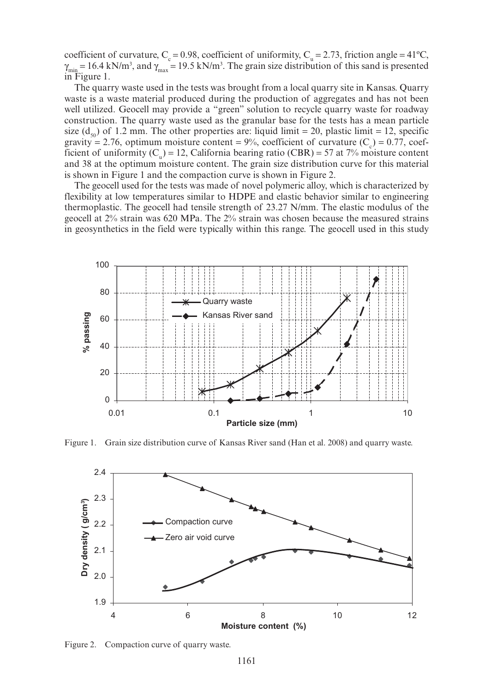coefficient of curvature,  $C_c = 0.98$ , coefficient of uniformity,  $C_n = 2.73$ , friction angle = 41<sup>o</sup>C,  $\gamma_{\text{min}} = 16.4 \text{ kN/m}^3$ , and  $\gamma_{\text{max}} = 19.5 \text{ kN/m}^3$ . The grain size distribution of this sand is presented in Figure 1.

The quarry waste used in the tests was brought from a local quarry site in Kansas. Quarry waste is a waste material produced during the production of aggregates and has not been well utilized. Geocell may provide a "green" solution to recycle quarry waste for roadway construction. The quarry waste used as the granular base for the tests has a mean particle size (d<sub>co</sub>) of 1.2 mm. The other properties are: liquid limit = 20, plastic limit = 12, specific gravity = 2.76, optimum moisture content =  $9\%$ , coefficient of curvature (C<sub>c</sub>) = 0.77, coefficient of uniformity  $(C_u) = 12$ , California bearing ratio  $(CBR) = 57$  at 7% moisture content and 38 at the optimum moisture content. The grain size distribution curve for this material is shown in Figure 1 and the compaction curve is shown in Figure 2.

The geocell used for the tests was made of novel polymeric alloy, which is characterized by flexibility at low temperatures similar to HDPE and elastic behavior similar to engineering thermoplastic. The geocell had tensile strength of 23.27 N/mm. The elastic modulus of the geocell at 2% strain was 620 MPa. The 2% strain was chosen because the measured strains in geosynthetics in the field were typically within this range. The geocell used in this study



Figure 1. Grain size distribution curve of Kansas River sand (Han et al. 2008) and quarry waste.



Figure 2. Compaction curve of quarry waste.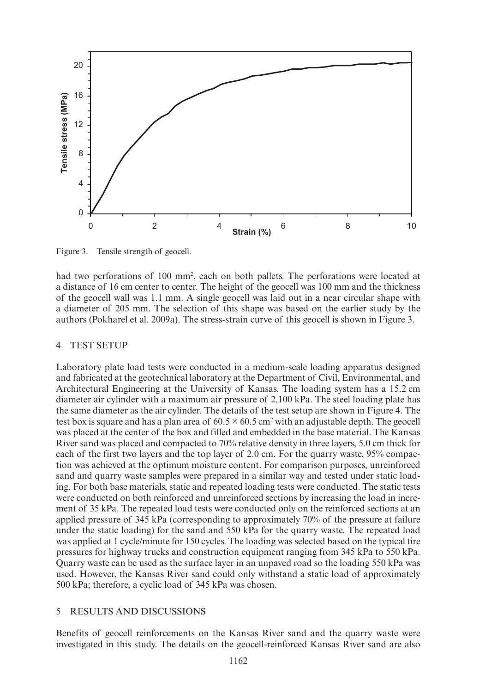

Figure 3. Tensile strength of geocell.

had two perforations of 100 mm<sup>2</sup>, each on both pallets. The perforations were located at a distance of 16 cm center to center. The height of the geocell was 100 mm and the thickness of the geocell wall was 1.1 mm. A single geocell was laid out in a near circular shape with a diameter of 205 mm. The selection of this shape was based on the earlier study by the authors (Pokharel et al. 2009a). The stress-strain curve of this geocell is shown in Figure 3.

# 4 TEST SETUP

Laboratory plate load tests were conducted in a medium-scale loading apparatus designed and fabricated at the geotechnical laboratory at the Department of Civil, Environmental, and Architectural Engineering at the University of Kansas. The loading system has a 15.2 cm diameter air cylinder with a maximum air pressure of 2,100 kPa. The steel loading plate has the same diameter as the air cylinder. The details of the test setup are shown in Figure 4. The test box is square and has a plan area of  $60.5 \times 60.5$  cm<sup>2</sup> with an adjustable depth. The geocell was placed at the center of the box and filled and embedded in the base material. The Kansas River sand was placed and compacted to 70% relative density in three layers, 5.0 cm thick for each of the first two layers and the top layer of 2.0 cm. For the quarry waste, 95% compaction was achieved at the optimum moisture content. For comparison purposes, unreinforced sand and quarry waste samples were prepared in a similar way and tested under static loading. For both base materials, static and repeated loading tests were conducted. The static tests were conducted on both reinforced and unreinforced sections by increasing the load in increment of 35 kPa. The repeated load tests were conducted only on the reinforced sections at an applied pressure of 345 kPa (corresponding to approximately 70% of the pressure at failure under the static loading) for the sand and 550 kPa for the quarry waste. The repeated load was applied at 1 cycle/minute for 150 cycles. The loading was selected based on the typical tire pressures for highway trucks and construction equipment ranging from 345 kPa to 550 kPa. Quarry waste can be used as the surface layer in an unpaved road so the loading 550 kPa was used. However, the Kansas River sand could only withstand a static load of approximately 500 kPa; therefore, a cyclic load of 345 kPa was chosen.

## 5 RESULTS AND DISCUSSIONS

Benefits of geocell reinforcements on the Kansas River sand and the quarry waste were investigated in this study. The details on the geocell-reinforced Kansas River sand are also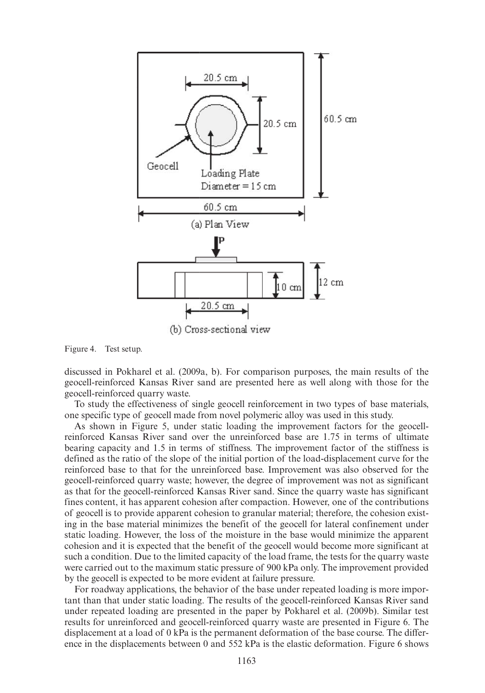

Figure 4. Test setup.

discussed in Pokharel et al. (2009a, b). For comparison purposes, the main results of the geocell-reinforced Kansas River sand are presented here as well along with those for the geocell-reinforced quarry waste.

To study the effectiveness of single geocell reinforcement in two types of base materials, one specific type of geocell made from novel polymeric alloy was used in this study.

As shown in Figure 5, under static loading the improvement factors for the geocellreinforced Kansas River sand over the unreinforced base are 1.75 in terms of ultimate bearing capacity and 1.5 in terms of stiffness. The improvement factor of the stiffness is defined as the ratio of the slope of the initial portion of the load-displacement curve for the reinforced base to that for the unreinforced base. Improvement was also observed for the geocell-reinforced quarry waste; however, the degree of improvement was not as significant as that for the geocell-reinforced Kansas River sand. Since the quarry waste has significant fines content, it has apparent cohesion after compaction. However, one of the contributions of geocell is to provide apparent cohesion to granular material; therefore, the cohesion existing in the base material minimizes the benefit of the geocell for lateral confinement under static loading. However, the loss of the moisture in the base would minimize the apparent cohesion and it is expected that the benefit of the geocell would become more significant at such a condition. Due to the limited capacity of the load frame, the tests for the quarry waste were carried out to the maximum static pressure of 900 kPa only. The improvement provided by the geocell is expected to be more evident at failure pressure.

For roadway applications, the behavior of the base under repeated loading is more important than that under static loading. The results of the geocell-reinforced Kansas River sand under repeated loading are presented in the paper by Pokharel et al. (2009b). Similar test results for unreinforced and geocell-reinforced quarry waste are presented in Figure 6. The displacement at a load of 0 kPa is the permanent deformation of the base course. The difference in the displacements between 0 and 552 kPa is the elastic deformation. Figure 6 shows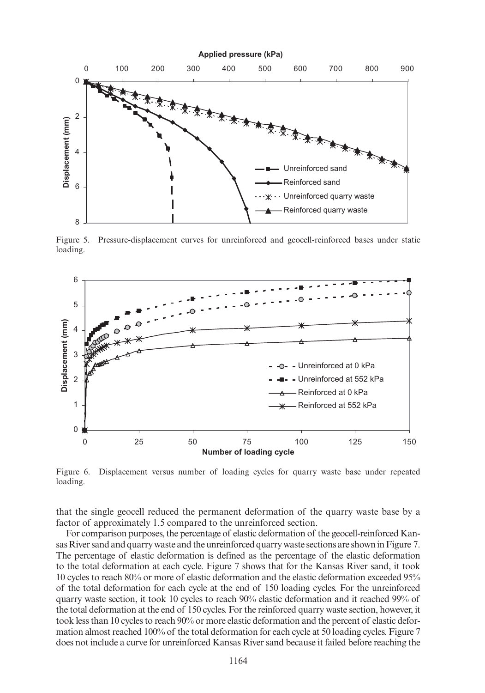

Figure 5. Pressure-displacement curves for unreinforced and geocell-reinforced bases under static loading.



Figure 6. Displacement versus number of loading cycles for quarry waste base under repeated loading.

that the single geocell reduced the permanent deformation of the quarry waste base by a factor of approximately 1.5 compared to the unreinforced section.

For comparison purposes, the percentage of elastic deformation of the geocell-reinforced Kansas River sand and quarry waste and the unreinforced quarry waste sections are shown in Figure 7. The percentage of elastic deformation is defined as the percentage of the elastic deformation to the total deformation at each cycle. Figure 7 shows that for the Kansas River sand, it took 10 cycles to reach 80% or more of elastic deformation and the elastic deformation exceeded 95% of the total deformation for each cycle at the end of 150 loading cycles. For the unreinforced quarry waste section, it took 10 cycles to reach 90% elastic deformation and it reached 99% of the total deformation at the end of 150 cycles. For the reinforced quarry waste section, however, it took less than 10 cycles to reach 90% or more elastic deformation and the percent of elastic deformation almost reached 100% of the total deformation for each cycle at 50 loading cycles. Figure 7 does not include a curve for unreinforced Kansas River sand because it failed before reaching the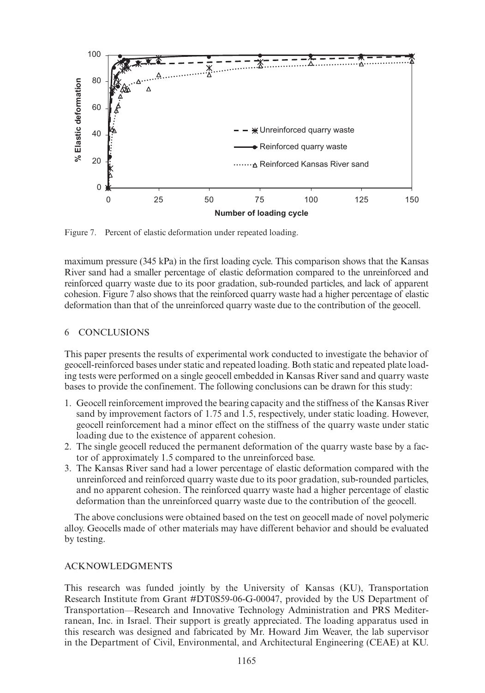

Figure 7. Percent of elastic deformation under repeated loading.

maximum pressure (345 kPa) in the first loading cycle. This comparison shows that the Kansas River sand had a smaller percentage of elastic deformation compared to the unreinforced and reinforced quarry waste due to its poor gradation, sub-rounded particles, and lack of apparent cohesion. Figure 7 also shows that the reinforced quarry waste had a higher percentage of elastic deformation than that of the unreinforced quarry waste due to the contribution of the geocell.

#### 6 CONCLUSIONS

This paper presents the results of experimental work conducted to investigate the behavior of geocell-reinforced bases under static and repeated loading. Both static and repeated plate loading tests were performed on a single geocell embedded in Kansas River sand and quarry waste bases to provide the confinement. The following conclusions can be drawn for this study:

- 1. Geocell reinforcement improved the bearing capacity and the stiffness of the Kansas River sand by improvement factors of 1.75 and 1.5, respectively, under static loading. However, geocell reinforcement had a minor effect on the stiffness of the quarry waste under static loading due to the existence of apparent cohesion.
- 2. The single geocell reduced the permanent deformation of the quarry waste base by a factor of approximately 1.5 compared to the unreinforced base.
- 3. The Kansas River sand had a lower percentage of elastic deformation compared with the unreinforced and reinforced quarry waste due to its poor gradation, sub-rounded particles, and no apparent cohesion. The reinforced quarry waste had a higher percentage of elastic deformation than the unreinforced quarry waste due to the contribution of the geocell.

The above conclusions were obtained based on the test on geocell made of novel polymeric alloy. Geocells made of other materials may have different behavior and should be evaluated by testing.

### ACKNOWLEDGMENTS

This research was funded jointly by the University of Kansas (KU), Transportation Research Institute from Grant #DT0S59-06-G-00047, provided by the US Department of Transportation—Research and Innovative Technology Administration and PRS Mediterranean, Inc. in Israel. Their support is greatly appreciated. The loading apparatus used in this research was designed and fabricated by Mr. Howard Jim Weaver, the lab supervisor in the Department of Civil, Environmental, and Architectural Engineering (CEAE) at KU.